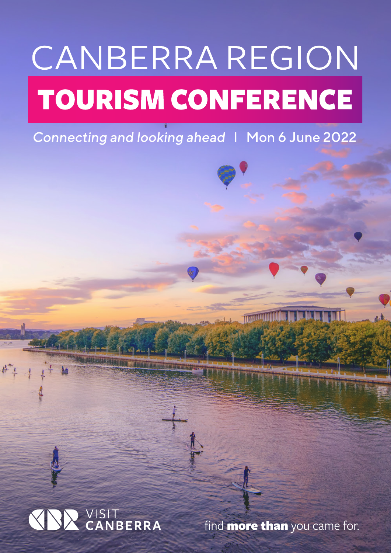# CANBERRA REGION **TOURISM CONFERENCE**

Connecting and looking ahead I Mon 6 June 2022



find **more than** you came for.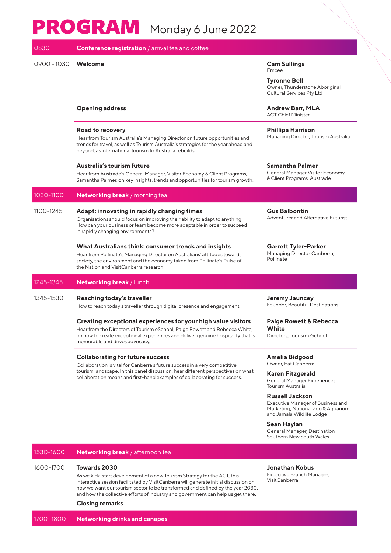# PROGRAM Monday 6 June 2022

| 0830          | <b>Conference registration</b> / arrival tea and coffee                                                                                                                                                                                                                                |                                                                                                                                |
|---------------|----------------------------------------------------------------------------------------------------------------------------------------------------------------------------------------------------------------------------------------------------------------------------------------|--------------------------------------------------------------------------------------------------------------------------------|
| $0900 - 1030$ | Welcome                                                                                                                                                                                                                                                                                | <b>Cam Sullings</b><br>Emcee<br><b>Tyronne Bell</b><br>Owner, Thunderstone Aboriginal<br>Cultural Services Pty Ltd             |
|               | <b>Opening address</b>                                                                                                                                                                                                                                                                 | <b>Andrew Barr, MLA</b><br><b>ACT Chief Minister</b>                                                                           |
|               | Road to recovery<br>Hear from Tourism Australia's Managing Director on future opportunities and<br>trends for travel, as well as Tourism Australia's strategies for the year ahead and<br>beyond, as international tourism to Australia rebuilds.                                      | <b>Phillipa Harrison</b><br>Managing Director, Tourism Australia                                                               |
|               | Australia's tourism future<br>Hear from Austrade's General Manager, Visitor Economy & Client Programs,<br>Samantha Palmer, on key insights, trends and opportunities for tourism growth.                                                                                               | <b>Samantha Palmer</b><br>General Manager Visitor Economy<br>& Client Programs, Austrade                                       |
| 1030-1100     | Networking break / morning tea                                                                                                                                                                                                                                                         |                                                                                                                                |
| 1100-1245     | Adapt: innovating in rapidly changing times<br>Organisations should focus on improving their ability to adapt to anything.<br>How can your business or team become more adaptable in order to succeed<br>in rapidly changing environments?                                             | <b>Gus Balbontin</b><br>Adventurer and Alternative Futurist                                                                    |
|               | What Australians think: consumer trends and insights<br>Hear from Pollinate's Managing Director on Australians' attitudes towards<br>society, the environment and the economy taken from Pollinate's Pulse of<br>the Nation and VisitCanberra research.                                | <b>Garrett Tyler-Parker</b><br>Managing Director Canberra,<br>Pollinate                                                        |
| 1245-1345     | Networking break / lunch                                                                                                                                                                                                                                                               |                                                                                                                                |
| 1345-1530     | Reaching today's traveller<br>How to reach today's traveller through digital presence and engagement.                                                                                                                                                                                  | <b>Jeremy Jauncey</b><br>Founder, Beautiful Destinations                                                                       |
|               | Creating exceptional experiences for your high value visitors<br>Hear from the Directors of Tourism eSchool, Paige Rowett and Rebecca White,<br>on how to create exceptional experiences and deliver genuine hospitality that is<br>memorable and drives advocacy.                     | <b>Paige Rowett &amp; Rebecca</b><br>White<br>Directors, Tourism eSchool                                                       |
|               | <b>Collaborating for future success</b><br>Collaboration is vital for Canberra's future success in a very competitive<br>tourism landscape. In this panel discussion, hear different perspectives on what<br>collaboration means and first-hand examples of collaborating for success. | Amelia Bidgood<br>Owner, Eat Canberra<br>Karen Fitzgerald<br>General Manager Experiences,<br><b>Tourism Australia</b>          |
|               |                                                                                                                                                                                                                                                                                        | <b>Russell Jackson</b><br>Executive Manager of Business and<br>Marketing, National Zoo & Aquarium<br>and Jamala Wildlife Lodge |
|               |                                                                                                                                                                                                                                                                                        | Sean Haylan<br>General Manager, Destination<br>Southern New South Wales                                                        |
| 1530-1600     | Networking break / afternoon tea                                                                                                                                                                                                                                                       |                                                                                                                                |
| 1600-1700     | <b>Towards 2030</b><br>As we kick-start development of a new Tourism Strategy for the ACT, this                                                                                                                                                                                        | Jonathan Kobus<br>Executive Branch Manager,                                                                                    |

As we kick-start development of a new Tourism Strategy for the ACT, this interactive session facilitated by VisitCanberra will generate initial discussion on how we want our tourism sector to be transformed and defined by the year 2030, and how the collective efforts of industry and government can help us get there.

# **Closing remarks**

VisitCanberra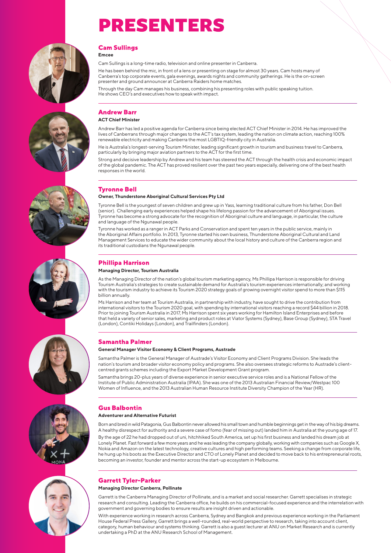# PRESENTERS





#### **Cam Sullings Emcee**

Cam Sullings is a long-time radio, television and online presenter in Canberra.

He has been behind the mic, in front of a lens or presenting on stage for almost 30 years. Cam hosts many of Canberra's top corporate events, gala evenings, awards nights and community gatherings. He is the on-screen presenter and ground announcer at Canberra Raiders home matches.

Through the day Cam manages his business, combining his presenting roles with public speaking tuition. He shows CEO's and executives how to speak with impact.

# **Andrew Barr**

## **ACT Chief Minister**

Andrew Barr has led a positive agenda for Canberra since being elected ACT Chief Minister in 2014. He has improved the lives of Canberrans through major changes to the ACT's tax system, leading the nation on climate action, reaching 100% renewable electricity and making Canberra the most LGBTIQ-friendly city in Australia.

He is Australia's longest-serving Tourism Minister, leading significant growth in tourism and business travel to Canberra, particularly by bringing major aviation partners to the ACT for the first time.

Strong and decisive leadership by Andrew and his team has steered the ACT through the health crisis and economic impact of the global pandemic. The ACT has proved resilient over the past two years especially, delivering one of the best health responses in the world.



# **Tyronne Bell**

## **Owner, Thunderstone Aboriginal Cultural Services Pty Ltd**

Tyronne Bell is the youngest of seven children and grew up in Yass, learning traditional culture from his father, Don Bell (senior). Challenging early experiences helped shape his lifelong passion for the advancement of Aboriginal issues. Tyronne has become a strong advocate for the recognition of Aboriginal culture and language, in particular, the culture and language of the Ngunawal people.

Tyronne has worked as a ranger in ACT Parks and Conservation and spent ten years in the public service, mainly in the Aboriginal Affairs portfolio. In 2013, Tyronne started his own business, Thunderstone Aboriginal Cultural and Land Management Services to educate the wider community about the local history and culture of the Canberra region and its traditional custodians the Ngunawal people.

# **Phillipa Harrison**

#### **Managing Director, Tourism Australia**

As the Managing Director of the nation's global tourism marketing agency, Ms Phillipa Harrison is responsible for driving Tourism Australia's strategies to create sustainable demand for Australia's tourism experiences internationally; and working with the tourism industry to achieve its Tourism 2020 strategy goals of growing overnight visitor spend to more than \$115 billion annually.

Ms Harrison and her team at Tourism Australia, in partnership with industry, have sought to drive the contribution from international visitors to the Tourism 2020 goal, with spending by international visitors reaching a record \$44 billion in 2018. Prior to joining Tourism Australia in 2017, Ms Harrison spent six years working for Hamilton Island Enterprises and before that held a variety of senior sales, marketing and product roles at Viator Systems (Sydney), Base Group (Sydney), STA Travel (London), Contiki Holidays (London), and Trailfinders (London).

# **Samantha Palmer**

## **General Manager Visitor Economy & Client Programs, Austrade**

Samantha Palmer is the General Manager of Austrade's Visitor Economy and Client Programs Division. She leads the nation's tourism and broader visitor economy policy and programs. She also oversees strategic reforms to Austrade's clientcentred grants schemes including the Export Market Development Grant program.

Samantha brings 20-plus years of diverse experience in senior executive service roles and is a National Fellow of the Institute of Public Administration Australia (IPAA). She was one of the 2013 Australian Financial Review/Westpac 100 Women of Influence, and the 2013 Australian Human Resource Institute Diversity Champion of the Year (HR).

# **Gus Balbontin**

### **Adventurer and Alternative Futurist**

Born and bred in wild Patagonia, Gus Balbontin never allowed his small town and humble beginnings get in the way of his big dreams. A healthy disrespect for authority and a severe case of fomo (fear of missing out) landed him in Australia at the young age of 17.

By the age of 22 he had dropped out of uni, hitchhiked South America, set up his first business and landed his dream job at Lonely Planet. Fast forward a few more years and he was leading the company globally, working with companies such as Google X, Nokia and Amazon on the latest technology, creative cultures and high performing teams. Seeking a change from corporate life, he hung up his boots as the Executive Director and CTO of Lonely Planet and decided to move back to his entrepreneurial roots, becoming an investor, founder and mentor across the start-up ecosystem in Melbourne.

# **Garrett Tyler-Parker**

#### **Managing Director Canberra, Pollinate**

Garrett is the Canberra Managing Director of Pollinate, and is a market and social researcher. Garrett specialises in strategic research and consulting. Leading the Canberra office, he builds on his commercial-focused experience and the interrelation with government and governing bodies to ensure results are insight driven and actionable.

With experience working in research across Canberra, Sydney and Bangkok and previous experience working in the Parliament House Federal Press Gallery, Garrett brings a well-rounded, real-world perspective to research, taking into account client, category, human behaviour and systems thinking. Garrett is also a guest lecturer at ANU on Market Research and is currently undertaking a PhD at the ANU Research School of Management.